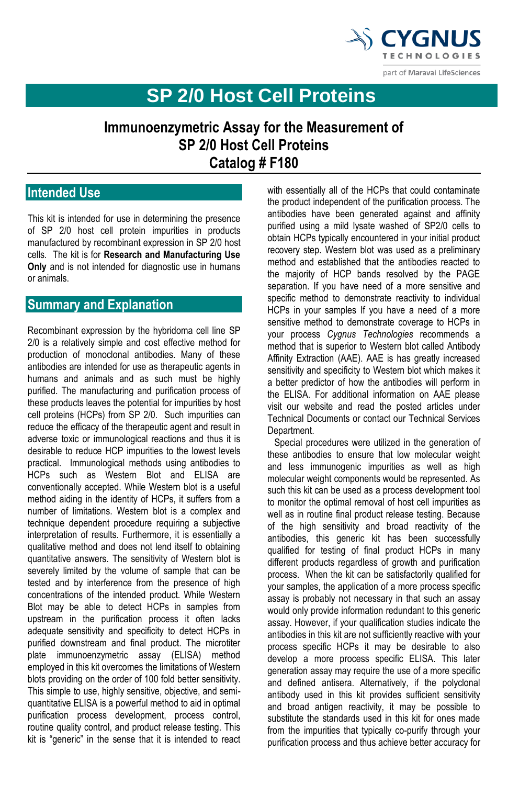

# **SP 2/0 Host Cell Proteins**

## **Immunoenzymetric Assay for the Measurement of SP 2/0 Host Cell Proteins Catalog # F180**

## **Intended Use**

This kit is intended for use in determining the presence of SP 2/0 host cell protein impurities in products manufactured by recombinant expression in SP 2/0 host cells. The kit is for **Research and Manufacturing Use Only** and is not intended for diagnostic use in humans or animals.

## **Summary and Explanation**

Recombinant expression by the hybridoma cell line SP 2/0 is a relatively simple and cost effective method for production of monoclonal antibodies. Many of these antibodies are intended for use as therapeutic agents in humans and animals and as such must be highly purified. The manufacturing and purification process of these products leaves the potential for impurities by host cell proteins (HCPs) from SP 2/0*.* Such impurities can reduce the efficacy of the therapeutic agent and result in adverse toxic or immunological reactions and thus it is desirable to reduce HCP impurities to the lowest levels practical. Immunological methods using antibodies to HCPs such as Western Blot and ELISA are conventionally accepted. While Western blot is a useful method aiding in the identity of HCPs, it suffers from a number of limitations. Western blot is a complex and technique dependent procedure requiring a subjective interpretation of results. Furthermore, it is essentially a qualitative method and does not lend itself to obtaining quantitative answers. The sensitivity of Western blot is severely limited by the volume of sample that can be tested and by interference from the presence of high concentrations of the intended product. While Western Blot may be able to detect HCPs in samples from upstream in the purification process it often lacks adequate sensitivity and specificity to detect HCPs in purified downstream and final product. The microtiter plate immunoenzymetric assay (ELISA) method employed in this kit overcomes the limitations of Western blots providing on the order of 100 fold better sensitivity. This simple to use, highly sensitive, objective, and semiquantitative ELISA is a powerful method to aid in optimal purification process development, process control, routine quality control, and product release testing. This kit is "generic" in the sense that it is intended to react with essentially all of the HCPs that could contaminate the product independent of the purification process. The antibodies have been generated against and affinity purified using a mild lysate washed of SP2/0 cells to obtain HCPs typically encountered in your initial product recovery step. Western blot was used as a preliminary method and established that the antibodies reacted to the majority of HCP bands resolved by the PAGE separation. If you have need of a more sensitive and specific method to demonstrate reactivity to individual HCPs in your samples If you have a need of a more sensitive method to demonstrate coverage to HCPs in your process *Cygnus Technologies* recommends a method that is superior to Western blot called Antibody Affinity Extraction (AAE). AAE is has greatly increased sensitivity and specificity to Western blot which makes it a better predictor of how the antibodies will perform in the ELISA. For additional information on AAE please visit our website and read the posted articles under Technical Documents or contact our Technical Services **Department** 

 Special procedures were utilized in the generation of these antibodies to ensure that low molecular weight and less immunogenic impurities as well as high molecular weight components would be represented. As such this kit can be used as a process development tool to monitor the optimal removal of host cell impurities as well as in routine final product release testing. Because of the high sensitivity and broad reactivity of the antibodies, this generic kit has been successfully qualified for testing of final product HCPs in many different products regardless of growth and purification process. When the kit can be satisfactorily qualified for your samples, the application of a more process specific assay is probably not necessary in that such an assay would only provide information redundant to this generic assay. However, if your qualification studies indicate the antibodies in this kit are not sufficiently reactive with your process specific HCPs it may be desirable to also develop a more process specific ELISA. This later generation assay may require the use of a more specific and defined antisera. Alternatively, if the polyclonal antibody used in this kit provides sufficient sensitivity and broad antigen reactivity, it may be possible to substitute the standards used in this kit for ones made from the impurities that typically co-purify through your purification process and thus achieve better accuracy for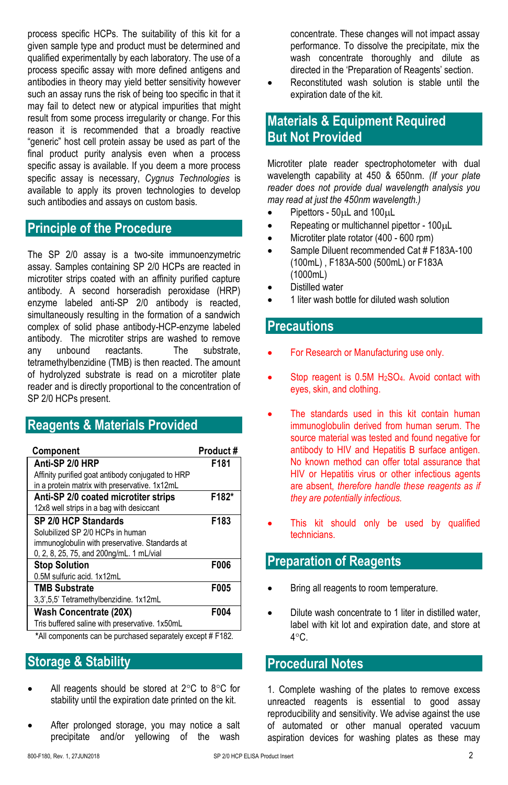process specific HCPs. The suitability of this kit for a given sample type and product must be determined and qualified experimentally by each laboratory. The use of a process specific assay with more defined antigens and antibodies in theory may yield better sensitivity however such an assay runs the risk of being too specific in that it may fail to detect new or atypical impurities that might result from some process irregularity or change. For this reason it is recommended that a broadly reactive "generic" host cell protein assay be used as part of the final product purity analysis even when a process specific assay is available. If you deem a more process specific assay is necessary, *Cygnus Technologies* is available to apply its proven technologies to develop such antibodies and assays on custom basis.

### **Principle of the Procedure**

The SP 2/0 assay is a two-site immunoenzymetric assay. Samples containing SP 2/0 HCPs are reacted in microtiter strips coated with an affinity purified capture antibody. A second horseradish peroxidase (HRP) enzyme labeled anti-SP 2/0 antibody is reacted, simultaneously resulting in the formation of a sandwich complex of solid phase antibody-HCP-enzyme labeled antibody. The microtiter strips are washed to remove any unbound reactants. The substrate, tetramethylbenzidine (TMB) is then reacted. The amount of hydrolyzed substrate is read on a microtiter plate reader and is directly proportional to the concentration of SP 2/0 HCPs present.

## **Reagents & Materials Provided**

| Component                                                     | Product # |
|---------------------------------------------------------------|-----------|
| Anti-SP 2/0 HRP                                               | F181      |
| Affinity purified goat antibody conjugated to HRP             |           |
| in a protein matrix with preservative. 1x12mL                 |           |
| Anti-SP 2/0 coated microtiter strips                          | F182*     |
| 12x8 well strips in a bag with desiccant                      |           |
| SP 2/0 HCP Standards                                          | F183      |
| Solubilized SP 2/0 HCPs in human                              |           |
| immunoglobulin with preservative. Standards at                |           |
| 0, 2, 8, 25, 75, and 200ng/mL. 1 mL/vial                      |           |
| <b>Stop Solution</b>                                          | F006      |
| 0.5M sulfuric acid. 1x12mL                                    |           |
| <b>TMB Substrate</b>                                          | F005      |
| 3,3',5,5' Tetramethylbenzidine. 1x12mL                        |           |
| <b>Wash Concentrate (20X)</b>                                 | F004      |
| Tris buffered saline with preservative. 1x50mL                |           |
| * All concernents and be accelered concertable concert # F400 |           |

**\***All components can be purchased separately except # F182.

## **Storage & Stability**

- All reagents should be stored at  $2^{\circ}$ C to  $8^{\circ}$ C for stability until the expiration date printed on the kit.
- After prolonged storage, you may notice a salt precipitate and/or yellowing of the wash

concentrate. These changes will not impact assay performance. To dissolve the precipitate, mix the wash concentrate thoroughly and dilute as directed in the 'Preparation of Reagents' section.

• Reconstituted wash solution is stable until the expiration date of the kit.

## **Materials & Equipment Required But Not Provided**

Microtiter plate reader spectrophotometer with dual wavelength capability at 450 & 650nm. *(If your plate reader does not provide dual wavelength analysis you may read at just the 450nm wavelength.)*

- Pipettors  $50\mu$ L and  $100\mu$ L
- Repeating or multichannel pipettor  $100\mu L$
- Microtiter plate rotator (400 600 rpm)
- Sample Diluent recommended Cat # F183A-100 (100mL) , F183A-500 (500mL) or F183A (1000mL)
- Distilled water
- 1 liter wash bottle for diluted wash solution

#### **Precautions**

- For Research or Manufacturing use only.
- Stop reagent is 0.5M H<sub>2</sub>SO<sub>4</sub>. Avoid contact with eyes, skin, and clothing.
- The standards used in this kit contain human immunoglobulin derived from human serum. The source material was tested and found negative for antibody to HIV and Hepatitis B surface antigen. No known method can offer total assurance that HIV or Hepatitis virus or other infectious agents are absent, *therefore handle these reagents as if they are potentially infectious.*
- This kit should only be used by qualified **technicians**

### **Preparation of Reagents**

- Bring all reagents to room temperature.
- Dilute wash concentrate to 1 liter in distilled water, label with kit lot and expiration date, and store at  $4^{\circ}$ C.

#### **Procedural Notes**

1. Complete washing of the plates to remove excess unreacted reagents is essential to good assay reproducibility and sensitivity. We advise against the use of automated or other manual operated vacuum aspiration devices for washing plates as these may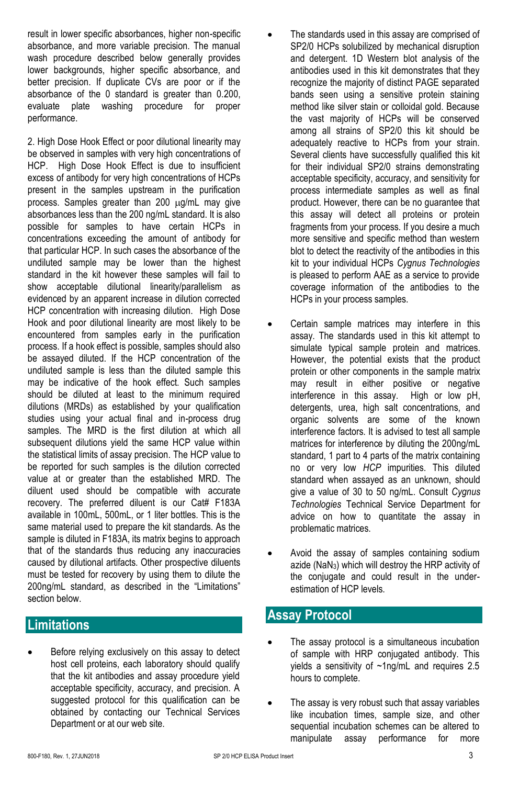result in lower specific absorbances, higher non-specific absorbance, and more variable precision. The manual wash procedure described below generally provides lower backgrounds, higher specific absorbance, and better precision. If duplicate CVs are poor or if the absorbance of the 0 standard is greater than 0.200, evaluate plate washing procedure for proper performance.

2. High Dose Hook Effect or poor dilutional linearity may be observed in samples with very high concentrations of HCP. High Dose Hook Effect is due to insufficient excess of antibody for very high concentrations of HCPs present in the samples upstream in the purification process. Samples greater than  $200 \mu g/mL$  may give absorbances less than the 200 ng/mL standard. It is also possible for samples to have certain HCPs in concentrations exceeding the amount of antibody for that particular HCP. In such cases the absorbance of the undiluted sample may be lower than the highest standard in the kit however these samples will fail to show acceptable dilutional linearity/parallelism as evidenced by an apparent increase in dilution corrected HCP concentration with increasing dilution. High Dose Hook and poor dilutional linearity are most likely to be encountered from samples early in the purification process. If a hook effect is possible, samples should also be assayed diluted. If the HCP concentration of the undiluted sample is less than the diluted sample this may be indicative of the hook effect. Such samples should be diluted at least to the minimum required dilutions (MRDs) as established by your qualification studies using your actual final and in-process drug samples. The MRD is the first dilution at which all subsequent dilutions yield the same HCP value within the statistical limits of assay precision. The HCP value to be reported for such samples is the dilution corrected value at or greater than the established MRD. The diluent used should be compatible with accurate recovery. The preferred diluent is our Cat# F183A available in 100mL, 500mL, or 1 liter bottles. This is the same material used to prepare the kit standards. As the sample is diluted in F183A, its matrix begins to approach that of the standards thus reducing any inaccuracies caused by dilutional artifacts. Other prospective diluents must be tested for recovery by using them to dilute the 200ng/mL standard, as described in the "Limitations" section below.

#### **Limitations**

Before relying exclusively on this assay to detect host cell proteins, each laboratory should qualify that the kit antibodies and assay procedure yield acceptable specificity, accuracy, and precision. A suggested protocol for this qualification can be obtained by contacting our Technical Services Department or at our web site.

- The standards used in this assay are comprised of SP2/0 HCPs solubilized by mechanical disruption and detergent. 1D Western blot analysis of the antibodies used in this kit demonstrates that they recognize the majority of distinct PAGE separated bands seen using a sensitive protein staining method like silver stain or colloidal gold. Because the vast majority of HCPs will be conserved among all strains of SP2/0 this kit should be adequately reactive to HCPs from your strain. Several clients have successfully qualified this kit for their individual SP2/0 strains demonstrating acceptable specificity, accuracy, and sensitivity for process intermediate samples as well as final product. However, there can be no guarantee that this assay will detect all proteins or protein fragments from your process*.* If you desire a much more sensitive and specific method than western blot to detect the reactivity of the antibodies in this kit to your individual HCPs *Cygnus Technologies* is pleased to perform AAE as a service to provide coverage information of the antibodies to the HCPs in your process samples.
- Certain sample matrices may interfere in this assay. The standards used in this kit attempt to simulate typical sample protein and matrices. However, the potential exists that the product protein or other components in the sample matrix may result in either positive or negative interference in this assay. High or low pH, detergents, urea, high salt concentrations, and organic solvents are some of the known interference factors. It is advised to test all sample matrices for interference by diluting the 200ng/mL standard, 1 part to 4 parts of the matrix containing no or very low *HCP* impurities. This diluted standard when assayed as an unknown, should give a value of 30 to 50 ng/mL. Consult *Cygnus Technologies* Technical Service Department for advice on how to quantitate the assay in problematic matrices.
- Avoid the assay of samples containing sodium azide (NaN3) which will destroy the HRP activity of the conjugate and could result in the underestimation of HCP levels.

## **Assay Protocol**

- The assay protocol is a simultaneous incubation of sample with HRP conjugated antibody. This yields a sensitivity of ~1ng/mL and requires 2.5 hours to complete.
- The assay is very robust such that assay variables like incubation times, sample size, and other sequential incubation schemes can be altered to manipulate assay performance for more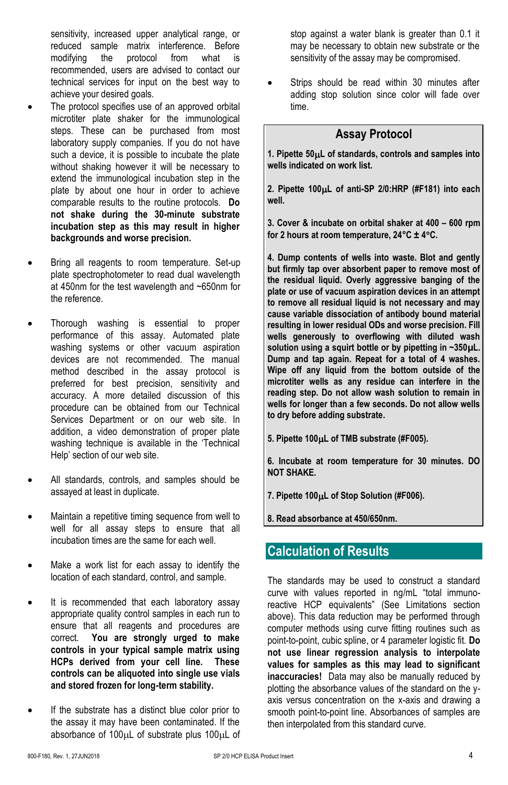sensitivity, increased upper analytical range, or reduced sample matrix interference. Before modifying the protocol from what is recommended, users are advised to contact our technical services for input on the best way to achieve your desired goals.

- The protocol specifies use of an approved orbital microtiter plate shaker for the immunological steps. These can be purchased from most laboratory supply companies. If you do not have such a device, it is possible to incubate the plate without shaking however it will be necessary to extend the immunological incubation step in the plate by about one hour in order to achieve comparable results to the routine protocols. **Do not shake during the 30-minute substrate incubation step as this may result in higher backgrounds and worse precision.**
- Bring all reagents to room temperature. Set-up plate spectrophotometer to read dual wavelength at 450nm for the test wavelength and ~650nm for the reference.
- Thorough washing is essential to proper performance of this assay. Automated plate washing systems or other vacuum aspiration devices are not recommended. The manual method described in the assay protocol is preferred for best precision, sensitivity and accuracy. A more detailed discussion of this procedure can be obtained from our Technical Services Department or on our web site. In addition, a video demonstration of proper plate washing technique is available in the 'Technical Help' section of our web site.
- All standards, controls, and samples should be assayed at least in duplicate.
- Maintain a repetitive timing sequence from well to well for all assay steps to ensure that all incubation times are the same for each well.
- Make a work list for each assay to identify the location of each standard, control, and sample.
- It is recommended that each laboratory assay appropriate quality control samples in each run to ensure that all reagents and procedures are correct. **You are strongly urged to make controls in your typical sample matrix using HCPs derived from your cell line. These controls can be aliquoted into single use vials and stored frozen for long-term stability.**
- If the substrate has a distinct blue color prior to the assay it may have been contaminated. If the absorbance of 100uL of substrate plus 100uL of

stop against a water blank is greater than 0.1 it may be necessary to obtain new substrate or the sensitivity of the assay may be compromised.

Strips should be read within 30 minutes after adding stop solution since color will fade over time.

#### **Assay Protocol**

**1. Pipette 50L of standards, controls and samples into wells indicated on work list.**

**2. Pipette 100L of anti-SP 2/0:HRP (#F181) into each well.**

**3. Cover & incubate on orbital shaker at 400 – 600 rpm for 2 hours at room temperature, 24°C ± 4C.**

**4. Dump contents of wells into waste. Blot and gently but firmly tap over absorbent paper to remove most of the residual liquid. Overly aggressive banging of the plate or use of vacuum aspiration devices in an attempt to remove all residual liquid is not necessary and may cause variable dissociation of antibody bound material resulting in lower residual ODs and worse precision. Fill wells generously to overflowing with diluted wash solution using a squirt bottle or by pipetting in ~350µL. Dump and tap again. Repeat for a total of 4 washes. Wipe off any liquid from the bottom outside of the microtiter wells as any residue can interfere in the reading step. Do not allow wash solution to remain in wells for longer than a few seconds. Do not allow wells to dry before adding substrate.** 

**5. Pipette 100L of TMB substrate (#F005).** 

**6. Incubate at room temperature for 30 minutes. DO NOT SHAKE.**

**7. Pipette 100L of Stop Solution (#F006).**

**8. Read absorbance at 450/650nm.**

## **Calculation of Results**

The standards may be used to construct a standard curve with values reported in ng/mL "total immunoreactive HCP equivalents" (See Limitations section above). This data reduction may be performed through computer methods using curve fitting routines such as point-to-point, cubic spline, or 4 parameter logistic fit. **Do not use linear regression analysis to interpolate values for samples as this may lead to significant inaccuracies!** Data may also be manually reduced by plotting the absorbance values of the standard on the yaxis versus concentration on the x-axis and drawing a smooth point-to-point line. Absorbances of samples are then interpolated from this standard curve.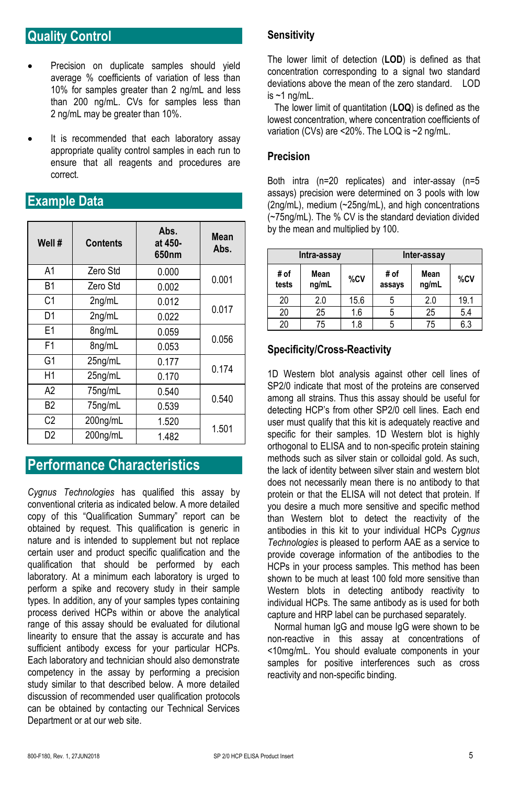## **Quality Control**

- Precision on duplicate samples should yield average % coefficients of variation of less than 10% for samples greater than 2 ng/mL and less than 200 ng/mL. CVs for samples less than 2 ng/mL may be greater than 10%.
- It is recommended that each laboratory assay appropriate quality control samples in each run to ensure that all reagents and procedures are correct.

#### **Example Data**

| Well #         | Contents | Abs.<br>at 450-<br>650 <sub>nm</sub> | Mean<br>Abs. |  |
|----------------|----------|--------------------------------------|--------------|--|
| A <sub>1</sub> | Zero Std | 0.000                                | 0.001        |  |
| Β1             | Zero Std | 0.002                                |              |  |
| C <sub>1</sub> | 2ng/mL   | 0.012                                | 0.017        |  |
| D1             | 2ng/mL   | 0.022                                |              |  |
| E1             | 8ng/mL   | 0.059                                | 0.056        |  |
| F1             | 8ng/mL   | 0.053                                |              |  |
| G1             | 25ng/mL  | 0.177                                | 0.174        |  |
| Η1             | 25ng/mL  | 0.170                                |              |  |
| A <sub>2</sub> | 75ng/mL  | 0.540                                |              |  |
| B2             | 75ng/mL  | 0.539                                | 0.540        |  |
| C <sub>2</sub> | 200ng/mL | 1.520                                | 1.501        |  |
| D <sub>2</sub> | 200ng/mL | 1.482                                |              |  |

## **Performance Characteristics**

*Cygnus Technologies* has qualified this assay by conventional criteria as indicated below. A more detailed copy of this "Qualification Summary" report can be obtained by request. This qualification is generic in nature and is intended to supplement but not replace certain user and product specific qualification and the qualification that should be performed by each laboratory. At a minimum each laboratory is urged to perform a spike and recovery study in their sample types. In addition, any of your samples types containing process derived HCPs within or above the analytical range of this assay should be evaluated for dilutional linearity to ensure that the assay is accurate and has sufficient antibody excess for your particular HCPs. Each laboratory and technician should also demonstrate competency in the assay by performing a precision study similar to that described below. A more detailed discussion of recommended user qualification protocols can be obtained by contacting our Technical Services Department or at our web site.

#### **Sensitivity**

The lower limit of detection (**LOD**) is defined as that concentration corresponding to a signal two standard deviations above the mean of the zero standard. LOD  $is$  ~1 ng/mL.

 The lower limit of quantitation (**LOQ**) is defined as the lowest concentration, where concentration coefficients of variation (CVs) are <20%. The LOQ is ~2 ng/mL.

#### **Precision**

Both intra (n=20 replicates) and inter-assay (n=5 assays) precision were determined on 3 pools with low (2ng/mL), medium (~25ng/mL), and high concentrations (~75ng/mL). The % CV is the standard deviation divided by the mean and multiplied by 100.

| Intra-assay   |               | Inter-assay |                |               |      |
|---------------|---------------|-------------|----------------|---------------|------|
| # of<br>tests | Mean<br>ng/mL | %CV         | # of<br>assays | Mean<br>ng/mL | %CV  |
| 20            | 2.0           | 15.6        |                | 2.0           | 19.1 |
| 20            | 25            | 1.6         |                | 25            | 5.4  |
| 20            | 75            | 1.8         |                | 75            | 6.3  |

#### **Specificity/Cross-Reactivity**

1D Western blot analysis against other cell lines of SP2/0 indicate that most of the proteins are conserved among all strains. Thus this assay should be useful for detecting HCP's from other SP2/0 cell lines. Each end user must qualify that this kit is adequately reactive and specific for their samples. 1D Western blot is highly orthogonal to ELISA and to non-specific protein staining methods such as silver stain or colloidal gold. As such, the lack of identity between silver stain and western blot does not necessarily mean there is no antibody to that protein or that the ELISA will not detect that protein. If you desire a much more sensitive and specific method than Western blot to detect the reactivity of the antibodies in this kit to your individual HCPs *Cygnus Technologies* is pleased to perform AAE as a service to provide coverage information of the antibodies to the HCPs in your process samples. This method has been shown to be much at least 100 fold more sensitive than Western blots in detecting antibody reactivity to individual HCPs. The same antibody as is used for both capture and HRP label can be purchased separately.

 Normal human IgG and mouse IgG were shown to be non-reactive in this assay at concentrations of <10mg/mL. You should evaluate components in your samples for positive interferences such as cross reactivity and non-specific binding.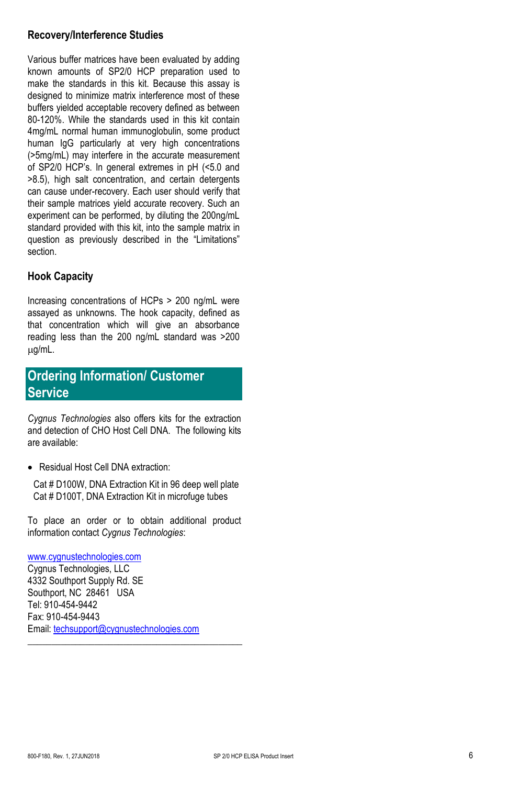#### **Recovery/Interference Studies**

Various buffer matrices have been evaluated by adding known amounts of SP2/0 HCP preparation used to make the standards in this kit. Because this assay is designed to minimize matrix interference most of these buffers yielded acceptable recovery defined as between 80-120%. While the standards used in this kit contain 4mg/mL normal human immunoglobulin, some product human IgG particularly at very high concentrations (>5mg/mL) may interfere in the accurate measurement of SP2/0 HCP's. In general extremes in pH (<5.0 and >8.5), high salt concentration, and certain detergents can cause under-recovery. Each user should verify that their sample matrices yield accurate recovery. Such an experiment can be performed, by diluting the 200ng/mL standard provided with this kit, into the sample matrix in question as previously described in the "Limitations" section.

#### **Hook Capacity**

Increasing concentrations of HCPs > 200 ng/mL were assayed as unknowns. The hook capacity, defined as that concentration which will give an absorbance reading less than the 200 ng/mL standard was >200 ug/mL.

## **Ordering Information/ Customer Service**

*Cygnus Technologies* also offers kits for the extraction and detection of CHO Host Cell DNA. The following kits are available:

• Residual Host Cell DNA extraction:

Cat # D100W, DNA Extraction Kit in 96 deep well plate Cat # D100T, DNA Extraction Kit in microfuge tubes

To place an order or to obtain additional product information contact *Cygnus Technologies*:

**\_\_\_\_\_\_\_\_\_\_\_\_\_\_\_\_\_\_\_\_\_\_\_\_\_\_\_\_\_\_\_\_\_\_\_\_\_\_\_\_\_\_\_\_\_**

#### [www.cygnustechnologies.com](http://www.cygnustechnologies.com/)

Cygnus Technologies, LLC 4332 Southport Supply Rd. SE Southport, NC 28461 USA Tel: 910-454-9442 Fax: 910-454-9443 Email[: techsupport@cygnustechnologies.com](mailto:techsupport@cygnustechnologies.com)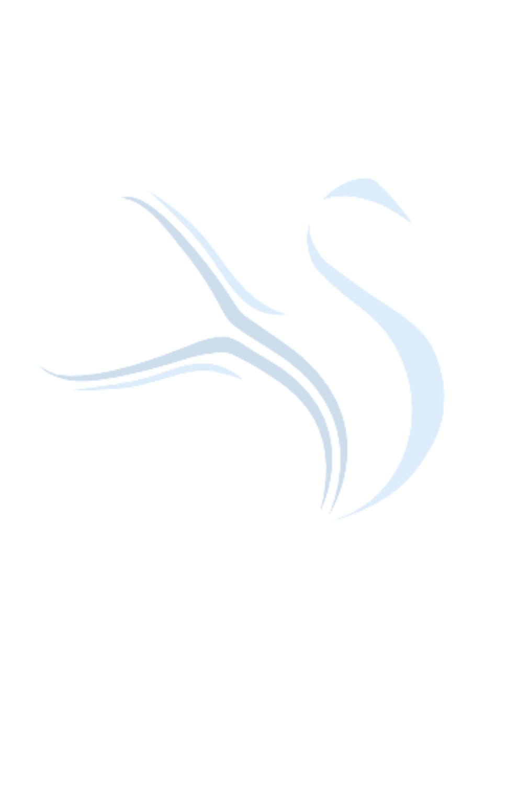